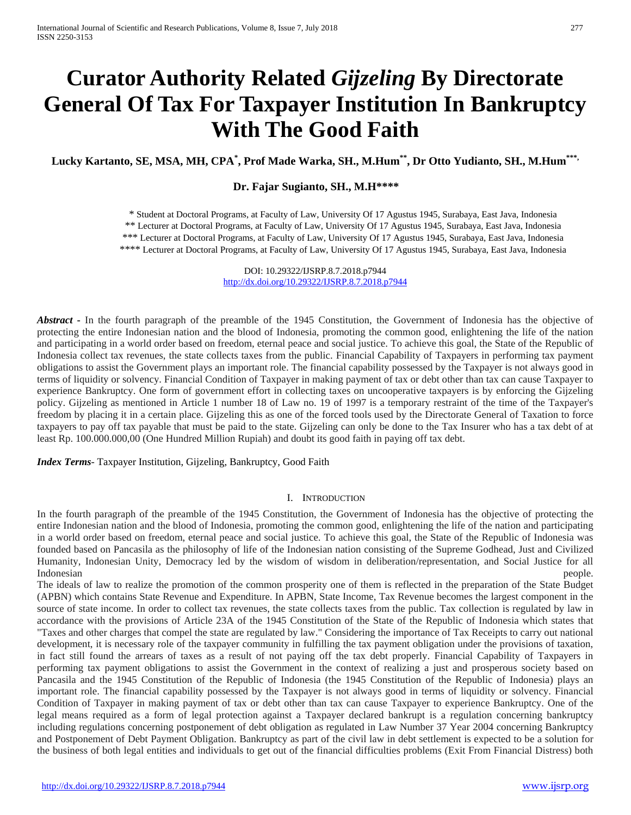# **Curator Authority Related** *Gijzeling* **By Directorate General Of Tax For Taxpayer Institution In Bankruptcy With The Good Faith**

**Lucky Kartanto, SE, MSA, MH, CPA\* , Prof Made Warka, SH., M.Hum\*\*, Dr Otto Yudianto, SH., M.Hum\*\*\*,** 

## **Dr. Fajar Sugianto, SH., M.H\*\*\*\***

\* Student at Doctoral Programs, at Faculty of Law, University Of 17 Agustus 1945, Surabaya, East Java, Indonesia \*\* Lecturer at Doctoral Programs, at Faculty of Law, University Of 17 Agustus 1945, Surabaya, East Java, Indonesia \*\*\* Lecturer at Doctoral Programs, at Faculty of Law, University Of 17 Agustus 1945, Surabaya, East Java, Indonesia \*\*\*\* Lecturer at Doctoral Programs, at Faculty of Law, University Of 17 Agustus 1945, Surabaya, East Java, Indonesia

> DOI: 10.29322/IJSRP.8.7.2018.p7944 <http://dx.doi.org/10.29322/IJSRP.8.7.2018.p7944>

*Abstract* • In the fourth paragraph of the preamble of the 1945 Constitution, the Government of Indonesia has the objective of protecting the entire Indonesian nation and the blood of Indonesia, promoting the common good, enlightening the life of the nation and participating in a world order based on freedom, eternal peace and social justice. To achieve this goal, the State of the Republic of Indonesia collect tax revenues, the state collects taxes from the public. Financial Capability of Taxpayers in performing tax payment obligations to assist the Government plays an important role. The financial capability possessed by the Taxpayer is not always good in terms of liquidity or solvency. Financial Condition of Taxpayer in making payment of tax or debt other than tax can cause Taxpayer to experience Bankruptcy. One form of government effort in collecting taxes on uncooperative taxpayers is by enforcing the Gijzeling policy. Gijzeling as mentioned in Article 1 number 18 of Law no. 19 of 1997 is a temporary restraint of the time of the Taxpayer's freedom by placing it in a certain place. Gijzeling this as one of the forced tools used by the Directorate General of Taxation to force taxpayers to pay off tax payable that must be paid to the state. Gijzeling can only be done to the Tax Insurer who has a tax debt of at least Rp. 100.000.000,00 (One Hundred Million Rupiah) and doubt its good faith in paying off tax debt.

*Index Terms*- Taxpayer Institution, Gijzeling, Bankruptcy, Good Faith

#### I. INTRODUCTION

In the fourth paragraph of the preamble of the 1945 Constitution, the Government of Indonesia has the objective of protecting the entire Indonesian nation and the blood of Indonesia, promoting the common good, enlightening the life of the nation and participating in a world order based on freedom, eternal peace and social justice. To achieve this goal, the State of the Republic of Indonesia was founded based on Pancasila as the philosophy of life of the Indonesian nation consisting of the Supreme Godhead, Just and Civilized Humanity, Indonesian Unity, Democracy led by the wisdom of wisdom in deliberation/representation, and Social Justice for all Indonesian **people.** 

The ideals of law to realize the promotion of the common prosperity one of them is reflected in the preparation of the State Budget (APBN) which contains State Revenue and Expenditure. In APBN, State Income, Tax Revenue becomes the largest component in the source of state income. In order to collect tax revenues, the state collects taxes from the public. Tax collection is regulated by law in accordance with the provisions of Article 23A of the 1945 Constitution of the State of the Republic of Indonesia which states that "Taxes and other charges that compel the state are regulated by law." Considering the importance of Tax Receipts to carry out national development, it is necessary role of the taxpayer community in fulfilling the tax payment obligation under the provisions of taxation, in fact still found the arrears of taxes as a result of not paying off the tax debt properly. Financial Capability of Taxpayers in performing tax payment obligations to assist the Government in the context of realizing a just and prosperous society based on Pancasila and the 1945 Constitution of the Republic of Indonesia (the 1945 Constitution of the Republic of Indonesia) plays an important role. The financial capability possessed by the Taxpayer is not always good in terms of liquidity or solvency. Financial Condition of Taxpayer in making payment of tax or debt other than tax can cause Taxpayer to experience Bankruptcy. One of the legal means required as a form of legal protection against a Taxpayer declared bankrupt is a regulation concerning bankruptcy including regulations concerning postponement of debt obligation as regulated in Law Number 37 Year 2004 concerning Bankruptcy and Postponement of Debt Payment Obligation. Bankruptcy as part of the civil law in debt settlement is expected to be a solution for the business of both legal entities and individuals to get out of the financial difficulties problems (Exit From Financial Distress) both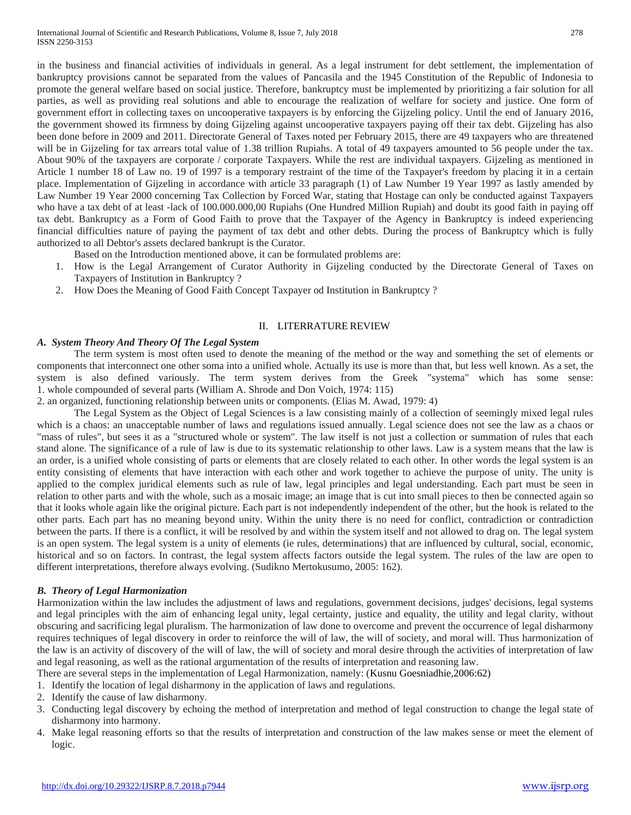in the business and financial activities of individuals in general. As a legal instrument for debt settlement, the implementation of bankruptcy provisions cannot be separated from the values of Pancasila and the 1945 Constitution of the Republic of Indonesia to promote the general welfare based on social justice. Therefore, bankruptcy must be implemented by prioritizing a fair solution for all parties, as well as providing real solutions and able to encourage the realization of welfare for society and justice. One form of government effort in collecting taxes on uncooperative taxpayers is by enforcing the Gijzeling policy. Until the end of January 2016, the government showed its firmness by doing Gijzeling against uncooperative taxpayers paying off their tax debt. Gijzeling has also been done before in 2009 and 2011. Directorate General of Taxes noted per February 2015, there are 49 taxpayers who are threatened will be in Gijzeling for tax arrears total value of 1.38 trillion Rupiahs. A total of 49 taxpayers amounted to 56 people under the tax. About 90% of the taxpayers are corporate / corporate Taxpayers. While the rest are individual taxpayers. Gijzeling as mentioned in Article 1 number 18 of Law no. 19 of 1997 is a temporary restraint of the time of the Taxpayer's freedom by placing it in a certain place. Implementation of Gijzeling in accordance with article 33 paragraph (1) of Law Number 19 Year 1997 as lastly amended by Law Number 19 Year 2000 concerning Tax Collection by Forced War, stating that Hostage can only be conducted against Taxpayers who have a tax debt of at least -lack of 100.000.000,00 Rupiahs (One Hundred Million Rupiah) and doubt its good faith in paying off tax debt. Bankruptcy as a Form of Good Faith to prove that the Taxpayer of the Agency in Bankruptcy is indeed experiencing financial difficulties nature of paying the payment of tax debt and other debts. During the process of Bankruptcy which is fully authorized to all Debtor's assets declared bankrupt is the Curator.

Based on the Introduction mentioned above, it can be formulated problems are:

- 1. How is the Legal Arrangement of Curator Authority in Gijzeling conducted by the Directorate General of Taxes on Taxpayers of Institution in Bankruptcy ?
- 2. How Does the Meaning of Good Faith Concept Taxpayer od Institution in Bankruptcy ?

#### II. LITERRATURE REVIEW

## *A. System Theory And Theory Of The Legal System*

The term system is most often used to denote the meaning of the method or the way and something the set of elements or components that interconnect one other soma into a unified whole. Actually its use is more than that, but less well known. As a set, the system is also defined variously. The term system derives from the Greek "systema" which has some sense: 1. whole compounded of several parts (William A. Shrode and Don Voich, 1974: 115)

2. an organized, functioning relationship between units or components. (Elias M. Awad, 1979: 4)

The Legal System as the Object of Legal Sciences is a law consisting mainly of a collection of seemingly mixed legal rules which is a chaos: an unacceptable number of laws and regulations issued annually. Legal science does not see the law as a chaos or "mass of rules", but sees it as a "structured whole or system". The law itself is not just a collection or summation of rules that each stand alone. The significance of a rule of law is due to its systematic relationship to other laws. Law is a system means that the law is an order, is a unified whole consisting of parts or elements that are closely related to each other. In other words the legal system is an entity consisting of elements that have interaction with each other and work together to achieve the purpose of unity. The unity is applied to the complex juridical elements such as rule of law, legal principles and legal understanding. Each part must be seen in relation to other parts and with the whole, such as a mosaic image; an image that is cut into small pieces to then be connected again so that it looks whole again like the original picture. Each part is not independently independent of the other, but the hook is related to the other parts. Each part has no meaning beyond unity. Within the unity there is no need for conflict, contradiction or contradiction between the parts. If there is a conflict, it will be resolved by and within the system itself and not allowed to drag on. The legal system is an open system. The legal system is a unity of elements (ie rules, determinations) that are influenced by cultural, social, economic, historical and so on factors. In contrast, the legal system affects factors outside the legal system. The rules of the law are open to different interpretations, therefore always evolving. (Sudikno Mertokusumo, 2005: 162).

## *B. Theory of Legal Harmonization*

Harmonization within the law includes the adjustment of laws and regulations, government decisions, judges' decisions, legal systems and legal principles with the aim of enhancing legal unity, legal certainty, justice and equality, the utility and legal clarity, without obscuring and sacrificing legal pluralism. The harmonization of law done to overcome and prevent the occurrence of legal disharmony requires techniques of legal discovery in order to reinforce the will of law, the will of society, and moral will. Thus harmonization of the law is an activity of discovery of the will of law, the will of society and moral desire through the activities of interpretation of law and legal reasoning, as well as the rational argumentation of the results of interpretation and reasoning law.

There are several steps in the implementation of Legal Harmonization, namely: (Kusnu Goesniadhie*,*2006:62)

- 1. Identify the location of legal disharmony in the application of laws and regulations.
- 2. Identify the cause of law disharmony.
- 3. Conducting legal discovery by echoing the method of interpretation and method of legal construction to change the legal state of disharmony into harmony.
- 4. Make legal reasoning efforts so that the results of interpretation and construction of the law makes sense or meet the element of logic.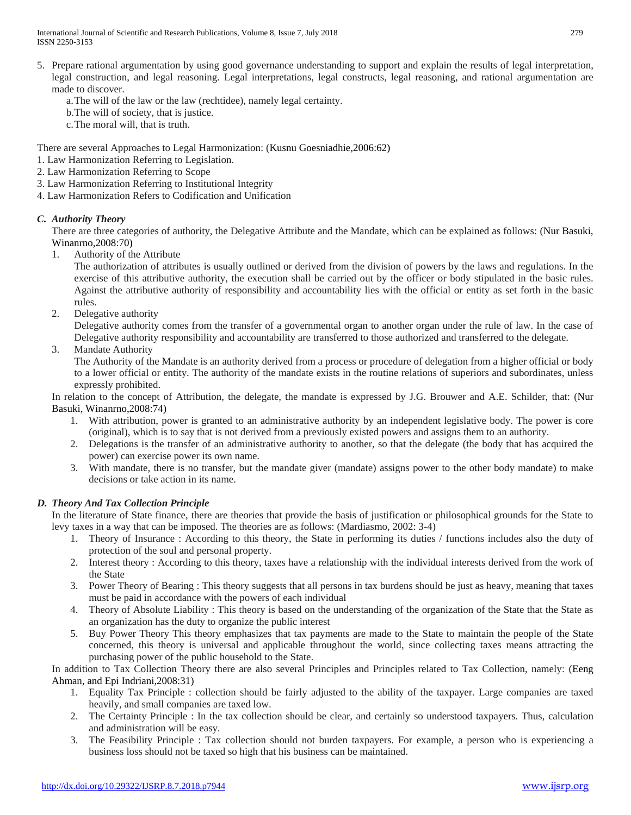International Journal of Scientific and Research Publications, Volume 8, Issue 7, July 2018 279 ISSN 2250-3153

- 5. Prepare rational argumentation by using good governance understanding to support and explain the results of legal interpretation, legal construction, and legal reasoning. Legal interpretations, legal constructs, legal reasoning, and rational argumentation are made to discover.
	- a.The will of the law or the law (rechtidee), namely legal certainty.
	- b.The will of society, that is justice.
	- c.The moral will, that is truth.

There are several Approaches to Legal Harmonization: (Kusnu Goesniadhie*,*2006:62)

- 1. Law Harmonization Referring to Legislation.
- 2. Law Harmonization Referring to Scope
- 3. Law Harmonization Referring to Institutional Integrity
- 4. Law Harmonization Refers to Codification and Unification

## *C. Authority Theory*

There are three categories of authority, the Delegative Attribute and the Mandate, which can be explained as follows: (Nur Basuki, Winanrno,2008:70)

1. Authority of the Attribute

The authorization of attributes is usually outlined or derived from the division of powers by the laws and regulations. In the exercise of this attributive authority, the execution shall be carried out by the officer or body stipulated in the basic rules. Against the attributive authority of responsibility and accountability lies with the official or entity as set forth in the basic rules.

2. Delegative authority

Delegative authority comes from the transfer of a governmental organ to another organ under the rule of law. In the case of Delegative authority responsibility and accountability are transferred to those authorized and transferred to the delegate.

3. Mandate Authority

The Authority of the Mandate is an authority derived from a process or procedure of delegation from a higher official or body to a lower official or entity. The authority of the mandate exists in the routine relations of superiors and subordinates, unless expressly prohibited.

In relation to the concept of Attribution, the delegate, the mandate is expressed by J.G. Brouwer and A.E. Schilder, that: (Nur Basuki, Winanrno,2008:74)

- 1. With attribution, power is granted to an administrative authority by an independent legislative body. The power is core (original), which is to say that is not derived from a previously existed powers and assigns them to an authority.
- 2. Delegations is the transfer of an administrative authority to another, so that the delegate (the body that has acquired the power) can exercise power its own name.
- 3. With mandate, there is no transfer, but the mandate giver (mandate) assigns power to the other body mandate) to make decisions or take action in its name.

# *D. Theory And Tax Collection Principle*

In the literature of State finance, there are theories that provide the basis of justification or philosophical grounds for the State to levy taxes in a way that can be imposed. The theories are as follows: (Mardiasmo, 2002: 3-4)

- 1. Theory of Insurance : According to this theory, the State in performing its duties / functions includes also the duty of protection of the soul and personal property.
- 2. Interest theory : According to this theory, taxes have a relationship with the individual interests derived from the work of the State
- 3. Power Theory of Bearing : This theory suggests that all persons in tax burdens should be just as heavy, meaning that taxes must be paid in accordance with the powers of each individual
- 4. Theory of Absolute Liability : This theory is based on the understanding of the organization of the State that the State as an organization has the duty to organize the public interest
- 5. Buy Power Theory This theory emphasizes that tax payments are made to the State to maintain the people of the State concerned, this theory is universal and applicable throughout the world, since collecting taxes means attracting the purchasing power of the public household to the State.

In addition to Tax Collection Theory there are also several Principles and Principles related to Tax Collection, namely: (Eeng Ahman, and Epi Indriani,2008:31)

- 1. Equality Tax Principle : collection should be fairly adjusted to the ability of the taxpayer. Large companies are taxed heavily, and small companies are taxed low.
- 2. The Certainty Principle : In the tax collection should be clear, and certainly so understood taxpayers. Thus, calculation and administration will be easy.
- 3. The Feasibility Principle : Tax collection should not burden taxpayers. For example, a person who is experiencing a business loss should not be taxed so high that his business can be maintained.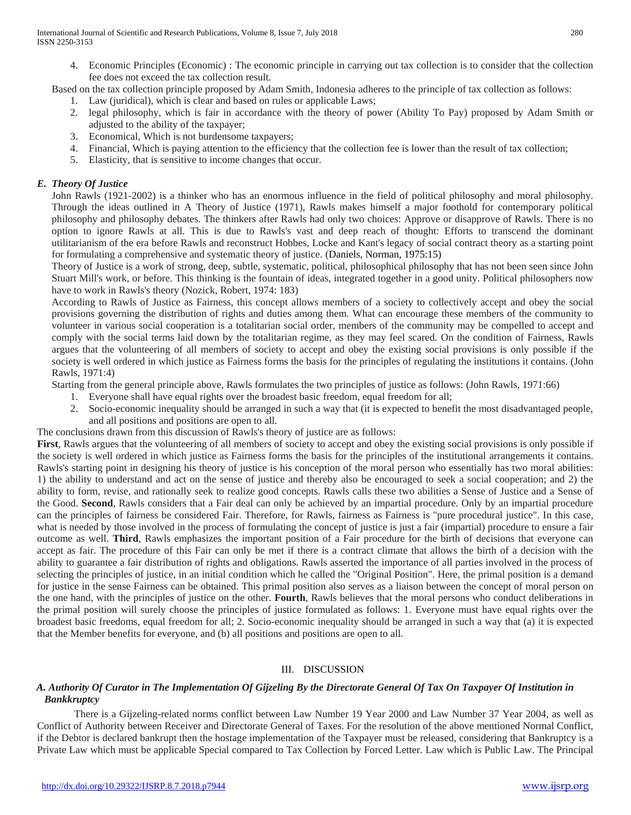4. Economic Principles (Economic) : The economic principle in carrying out tax collection is to consider that the collection fee does not exceed the tax collection result.

Based on the tax collection principle proposed by Adam Smith, Indonesia adheres to the principle of tax collection as follows:

- 1. Law (juridical), which is clear and based on rules or applicable Laws;
- 2. legal philosophy, which is fair in accordance with the theory of power (Ability To Pay) proposed by Adam Smith or adjusted to the ability of the taxpayer;
- 3. Economical, Which is not burdensome taxpayers;
- 4. Financial, Which is paying attention to the efficiency that the collection fee is lower than the result of tax collection;
- 5. Elasticity, that is sensitive to income changes that occur.

# *E. Theory Of Justice*

John Rawls (1921-2002) is a thinker who has an enormous influence in the field of political philosophy and moral philosophy. Through the ideas outlined in A Theory of Justice (1971), Rawls makes himself a major foothold for contemporary political philosophy and philosophy debates. The thinkers after Rawls had only two choices: Approve or disapprove of Rawls. There is no option to ignore Rawls at all. This is due to Rawls's vast and deep reach of thought: Efforts to transcend the dominant utilitarianism of the era before Rawls and reconstruct Hobbes, Locke and Kant's legacy of social contract theory as a starting point for formulating a comprehensive and systematic theory of justice. (Daniels, Norman, 1975:15)

Theory of Justice is a work of strong, deep, subtle, systematic, political, philosophical philosophy that has not been seen since John Stuart Mill's work, or before. This thinking is the fountain of ideas, integrated together in a good unity. Political philosophers now have to work in Rawls's theory (Nozick, Robert, 1974: 183)

According to Rawls of Justice as Fairness, this concept allows members of a society to collectively accept and obey the social provisions governing the distribution of rights and duties among them. What can encourage these members of the community to volunteer in various social cooperation is a totalitarian social order, members of the community may be compelled to accept and comply with the social terms laid down by the totalitarian regime, as they may feel scared. On the condition of Fairness, Rawls argues that the volunteering of all members of society to accept and obey the existing social provisions is only possible if the society is well ordered in which justice as Fairness forms the basis for the principles of regulating the institutions it contains. (John Rawls, 1971:4)

Starting from the general principle above, Rawls formulates the two principles of justice as follows: (John Rawls, 1971:66)

- 1. Everyone shall have equal rights over the broadest basic freedom, equal freedom for all;
- 2. Socio-economic inequality should be arranged in such a way that (it is expected to benefit the most disadvantaged people, and all positions and positions are open to all.

The conclusions drawn from this discussion of Rawls's theory of justice are as follows:

First, Rawls argues that the volunteering of all members of society to accept and obey the existing social provisions is only possible if the society is well ordered in which justice as Fairness forms the basis for the principles of the institutional arrangements it contains. Rawls's starting point in designing his theory of justice is his conception of the moral person who essentially has two moral abilities: 1) the ability to understand and act on the sense of justice and thereby also be encouraged to seek a social cooperation; and 2) the ability to form, revise, and rationally seek to realize good concepts. Rawls calls these two abilities a Sense of Justice and a Sense of the Good. **Second**, Rawls considers that a Fair deal can only be achieved by an impartial procedure. Only by an impartial procedure can the principles of fairness be considered Fair. Therefore, for Rawls, fairness as Fairness is "pure procedural justice". In this case, what is needed by those involved in the process of formulating the concept of justice is just a fair (impartial) procedure to ensure a fair outcome as well. **Third**, Rawls emphasizes the important position of a Fair procedure for the birth of decisions that everyone can accept as fair. The procedure of this Fair can only be met if there is a contract climate that allows the birth of a decision with the ability to guarantee a fair distribution of rights and obligations. Rawls asserted the importance of all parties involved in the process of selecting the principles of justice, in an initial condition which he called the "Original Position". Here, the primal position is a demand for justice in the sense Fairness can be obtained. This primal position also serves as a liaison between the concept of moral person on the one hand, with the principles of justice on the other. **Fourth**, Rawls believes that the moral persons who conduct deliberations in the primal position will surely choose the principles of justice formulated as follows: 1. Everyone must have equal rights over the broadest basic freedoms, equal freedom for all; 2. Socio-economic inequality should be arranged in such a way that (a) it is expected that the Member benefits for everyone, and (b) all positions and positions are open to all.

## III. DISCUSSION

## *A. Authority Of Curator in The Implementation Of Gijzeling By the Directorate General Of Tax On Taxpayer Of Institution in Bankkruptcy*

There is a Gijzeling-related norms conflict between Law Number 19 Year 2000 and Law Number 37 Year 2004, as well as Conflict of Authority between Receiver and Directorate General of Taxes. For the resolution of the above mentioned Normal Conflict, if the Debtor is declared bankrupt then the hostage implementation of the Taxpayer must be released, considering that Bankruptcy is a Private Law which must be applicable Special compared to Tax Collection by Forced Letter. Law which is Public Law. The Principal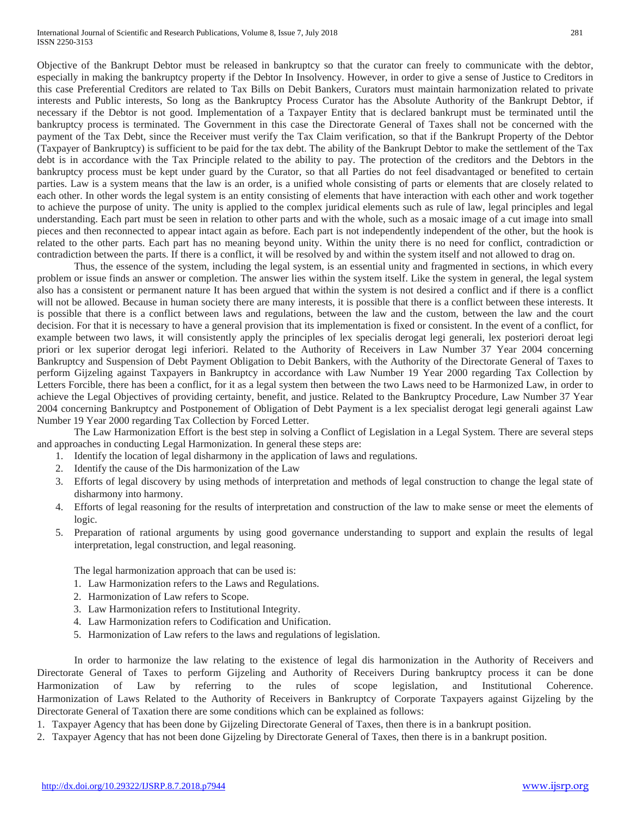Objective of the Bankrupt Debtor must be released in bankruptcy so that the curator can freely to communicate with the debtor, especially in making the bankruptcy property if the Debtor In Insolvency. However, in order to give a sense of Justice to Creditors in this case Preferential Creditors are related to Tax Bills on Debit Bankers, Curators must maintain harmonization related to private interests and Public interests, So long as the Bankruptcy Process Curator has the Absolute Authority of the Bankrupt Debtor, if necessary if the Debtor is not good. Implementation of a Taxpayer Entity that is declared bankrupt must be terminated until the bankruptcy process is terminated. The Government in this case the Directorate General of Taxes shall not be concerned with the payment of the Tax Debt, since the Receiver must verify the Tax Claim verification, so that if the Bankrupt Property of the Debtor (Taxpayer of Bankruptcy) is sufficient to be paid for the tax debt. The ability of the Bankrupt Debtor to make the settlement of the Tax debt is in accordance with the Tax Principle related to the ability to pay. The protection of the creditors and the Debtors in the bankruptcy process must be kept under guard by the Curator, so that all Parties do not feel disadvantaged or benefited to certain parties. Law is a system means that the law is an order, is a unified whole consisting of parts or elements that are closely related to each other. In other words the legal system is an entity consisting of elements that have interaction with each other and work together to achieve the purpose of unity. The unity is applied to the complex juridical elements such as rule of law, legal principles and legal understanding. Each part must be seen in relation to other parts and with the whole, such as a mosaic image of a cut image into small pieces and then reconnected to appear intact again as before. Each part is not independently independent of the other, but the hook is related to the other parts. Each part has no meaning beyond unity. Within the unity there is no need for conflict, contradiction or contradiction between the parts. If there is a conflict, it will be resolved by and within the system itself and not allowed to drag on.

Thus, the essence of the system, including the legal system, is an essential unity and fragmented in sections, in which every problem or issue finds an answer or completion. The answer lies within the system itself. Like the system in general, the legal system also has a consistent or permanent nature It has been argued that within the system is not desired a conflict and if there is a conflict will not be allowed. Because in human society there are many interests, it is possible that there is a conflict between these interests. It is possible that there is a conflict between laws and regulations, between the law and the custom, between the law and the court decision. For that it is necessary to have a general provision that its implementation is fixed or consistent. In the event of a conflict, for example between two laws, it will consistently apply the principles of lex specialis derogat legi generali, lex posteriori deroat legi priori or lex superior derogat legi inferiori. Related to the Authority of Receivers in Law Number 37 Year 2004 concerning Bankruptcy and Suspension of Debt Payment Obligation to Debit Bankers, with the Authority of the Directorate General of Taxes to perform Gijzeling against Taxpayers in Bankruptcy in accordance with Law Number 19 Year 2000 regarding Tax Collection by Letters Forcible, there has been a conflict, for it as a legal system then between the two Laws need to be Harmonized Law, in order to achieve the Legal Objectives of providing certainty, benefit, and justice. Related to the Bankruptcy Procedure, Law Number 37 Year 2004 concerning Bankruptcy and Postponement of Obligation of Debt Payment is a lex specialist derogat legi generali against Law Number 19 Year 2000 regarding Tax Collection by Forced Letter.

The Law Harmonization Effort is the best step in solving a Conflict of Legislation in a Legal System. There are several steps and approaches in conducting Legal Harmonization. In general these steps are:

- 1. Identify the location of legal disharmony in the application of laws and regulations.
- 2. Identify the cause of the Dis harmonization of the Law
- 3. Efforts of legal discovery by using methods of interpretation and methods of legal construction to change the legal state of disharmony into harmony.
- 4. Efforts of legal reasoning for the results of interpretation and construction of the law to make sense or meet the elements of logic.
- 5. Preparation of rational arguments by using good governance understanding to support and explain the results of legal interpretation, legal construction, and legal reasoning.

The legal harmonization approach that can be used is:

- 1. Law Harmonization refers to the Laws and Regulations.
- 2. Harmonization of Law refers to Scope.
- 3. Law Harmonization refers to Institutional Integrity.
- 4. Law Harmonization refers to Codification and Unification.
- 5. Harmonization of Law refers to the laws and regulations of legislation.

In order to harmonize the law relating to the existence of legal dis harmonization in the Authority of Receivers and Directorate General of Taxes to perform Gijzeling and Authority of Receivers During bankruptcy process it can be done Harmonization of Law by referring to the rules of scope legislation, and Institutional Coherence. Harmonization of Laws Related to the Authority of Receivers in Bankruptcy of Corporate Taxpayers against Gijzeling by the Directorate General of Taxation there are some conditions which can be explained as follows:

- 1. Taxpayer Agency that has been done by Gijzeling Directorate General of Taxes, then there is in a bankrupt position.
- 2. Taxpayer Agency that has not been done Gijzeling by Directorate General of Taxes, then there is in a bankrupt position.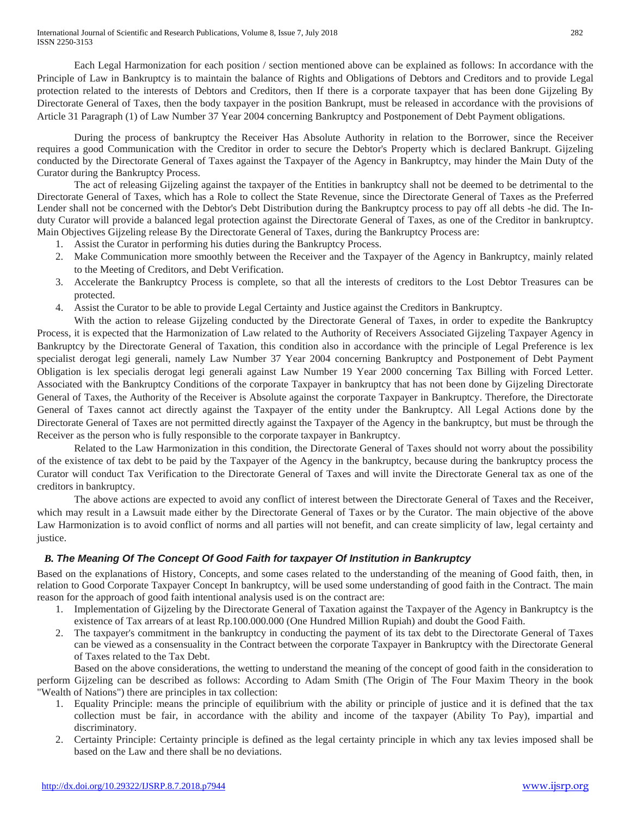Each Legal Harmonization for each position / section mentioned above can be explained as follows: In accordance with the Principle of Law in Bankruptcy is to maintain the balance of Rights and Obligations of Debtors and Creditors and to provide Legal protection related to the interests of Debtors and Creditors, then If there is a corporate taxpayer that has been done Gijzeling By Directorate General of Taxes, then the body taxpayer in the position Bankrupt, must be released in accordance with the provisions of Article 31 Paragraph (1) of Law Number 37 Year 2004 concerning Bankruptcy and Postponement of Debt Payment obligations.

During the process of bankruptcy the Receiver Has Absolute Authority in relation to the Borrower, since the Receiver requires a good Communication with the Creditor in order to secure the Debtor's Property which is declared Bankrupt. Gijzeling conducted by the Directorate General of Taxes against the Taxpayer of the Agency in Bankruptcy, may hinder the Main Duty of the Curator during the Bankruptcy Process.

The act of releasing Gijzeling against the taxpayer of the Entities in bankruptcy shall not be deemed to be detrimental to the Directorate General of Taxes, which has a Role to collect the State Revenue, since the Directorate General of Taxes as the Preferred Lender shall not be concerned with the Debtor's Debt Distribution during the Bankruptcy process to pay off all debts -he did. The Induty Curator will provide a balanced legal protection against the Directorate General of Taxes, as one of the Creditor in bankruptcy. Main Objectives Gijzeling release By the Directorate General of Taxes, during the Bankruptcy Process are:

- 1. Assist the Curator in performing his duties during the Bankruptcy Process.
- 2. Make Communication more smoothly between the Receiver and the Taxpayer of the Agency in Bankruptcy, mainly related to the Meeting of Creditors, and Debt Verification.
- 3. Accelerate the Bankruptcy Process is complete, so that all the interests of creditors to the Lost Debtor Treasures can be protected.
- 4. Assist the Curator to be able to provide Legal Certainty and Justice against the Creditors in Bankruptcy.

With the action to release Gijzeling conducted by the Directorate General of Taxes, in order to expedite the Bankruptcy Process, it is expected that the Harmonization of Law related to the Authority of Receivers Associated Gijzeling Taxpayer Agency in Bankruptcy by the Directorate General of Taxation, this condition also in accordance with the principle of Legal Preference is lex specialist derogat legi generali, namely Law Number 37 Year 2004 concerning Bankruptcy and Postponement of Debt Payment Obligation is lex specialis derogat legi generali against Law Number 19 Year 2000 concerning Tax Billing with Forced Letter. Associated with the Bankruptcy Conditions of the corporate Taxpayer in bankruptcy that has not been done by Gijzeling Directorate General of Taxes, the Authority of the Receiver is Absolute against the corporate Taxpayer in Bankruptcy. Therefore, the Directorate General of Taxes cannot act directly against the Taxpayer of the entity under the Bankruptcy. All Legal Actions done by the Directorate General of Taxes are not permitted directly against the Taxpayer of the Agency in the bankruptcy, but must be through the Receiver as the person who is fully responsible to the corporate taxpayer in Bankruptcy.

Related to the Law Harmonization in this condition, the Directorate General of Taxes should not worry about the possibility of the existence of tax debt to be paid by the Taxpayer of the Agency in the bankruptcy, because during the bankruptcy process the Curator will conduct Tax Verification to the Directorate General of Taxes and will invite the Directorate General tax as one of the creditors in bankruptcy.

The above actions are expected to avoid any conflict of interest between the Directorate General of Taxes and the Receiver, which may result in a Lawsuit made either by the Directorate General of Taxes or by the Curator. The main objective of the above Law Harmonization is to avoid conflict of norms and all parties will not benefit, and can create simplicity of law, legal certainty and justice.

# *B. The Meaning Of The Concept Of Good Faith for taxpayer Of Institution in Bankruptcy*

Based on the explanations of History, Concepts, and some cases related to the understanding of the meaning of Good faith, then, in relation to Good Corporate Taxpayer Concept In bankruptcy, will be used some understanding of good faith in the Contract. The main reason for the approach of good faith intentional analysis used is on the contract are:

- 1. Implementation of Gijzeling by the Directorate General of Taxation against the Taxpayer of the Agency in Bankruptcy is the existence of Tax arrears of at least Rp.100.000.000 (One Hundred Million Rupiah) and doubt the Good Faith.
- 2. The taxpayer's commitment in the bankruptcy in conducting the payment of its tax debt to the Directorate General of Taxes can be viewed as a consensuality in the Contract between the corporate Taxpayer in Bankruptcy with the Directorate General of Taxes related to the Tax Debt.

Based on the above considerations, the wetting to understand the meaning of the concept of good faith in the consideration to perform Gijzeling can be described as follows: According to Adam Smith (The Origin of The Four Maxim Theory in the book "Wealth of Nations") there are principles in tax collection:

- 1. Equality Principle: means the principle of equilibrium with the ability or principle of justice and it is defined that the tax collection must be fair, in accordance with the ability and income of the taxpayer (Ability To Pay), impartial and discriminatory.
- 2. Certainty Principle: Certainty principle is defined as the legal certainty principle in which any tax levies imposed shall be based on the Law and there shall be no deviations.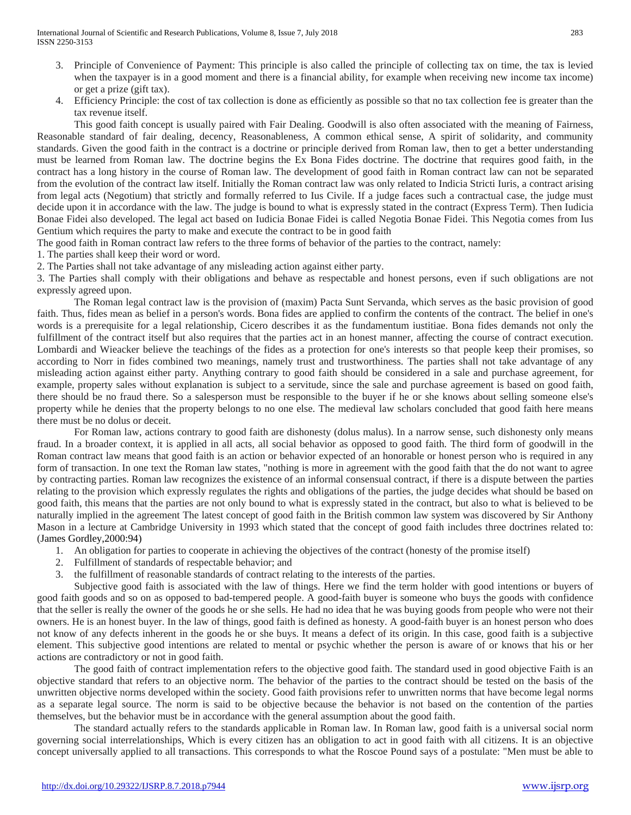- 3. Principle of Convenience of Payment: This principle is also called the principle of collecting tax on time, the tax is levied when the taxpayer is in a good moment and there is a financial ability, for example when receiving new income tax income) or get a prize (gift tax).
- 4. Efficiency Principle: the cost of tax collection is done as efficiently as possible so that no tax collection fee is greater than the tax revenue itself.

This good faith concept is usually paired with Fair Dealing. Goodwill is also often associated with the meaning of Fairness, Reasonable standard of fair dealing, decency, Reasonableness, A common ethical sense, A spirit of solidarity, and community standards. Given the good faith in the contract is a doctrine or principle derived from Roman law, then to get a better understanding must be learned from Roman law. The doctrine begins the Ex Bona Fides doctrine. The doctrine that requires good faith, in the contract has a long history in the course of Roman law. The development of good faith in Roman contract law can not be separated from the evolution of the contract law itself. Initially the Roman contract law was only related to Indicia Stricti Iuris, a contract arising from legal acts (Negotium) that strictly and formally referred to Ius Civile. If a judge faces such a contractual case, the judge must decide upon it in accordance with the law. The judge is bound to what is expressly stated in the contract (Express Term). Then Iudicia Bonae Fidei also developed. The legal act based on Iudicia Bonae Fidei is called Negotia Bonae Fidei. This Negotia comes from Ius Gentium which requires the party to make and execute the contract to be in good faith

The good faith in Roman contract law refers to the three forms of behavior of the parties to the contract, namely:

1. The parties shall keep their word or word.

2. The Parties shall not take advantage of any misleading action against either party.

3. The Parties shall comply with their obligations and behave as respectable and honest persons, even if such obligations are not expressly agreed upon.

The Roman legal contract law is the provision of (maxim) Pacta Sunt Servanda, which serves as the basic provision of good faith. Thus, fides mean as belief in a person's words. Bona fides are applied to confirm the contents of the contract. The belief in one's words is a prerequisite for a legal relationship, Cicero describes it as the fundamentum iustitiae. Bona fides demands not only the fulfillment of the contract itself but also requires that the parties act in an honest manner, affecting the course of contract execution. Lombardi and Wieacker believe the teachings of the fides as a protection for one's interests so that people keep their promises, so according to Norr in fides combined two meanings, namely trust and trustworthiness. The parties shall not take advantage of any misleading action against either party. Anything contrary to good faith should be considered in a sale and purchase agreement, for example, property sales without explanation is subject to a servitude, since the sale and purchase agreement is based on good faith, there should be no fraud there. So a salesperson must be responsible to the buyer if he or she knows about selling someone else's property while he denies that the property belongs to no one else. The medieval law scholars concluded that good faith here means there must be no dolus or deceit.

For Roman law, actions contrary to good faith are dishonesty (dolus malus). In a narrow sense, such dishonesty only means fraud. In a broader context, it is applied in all acts, all social behavior as opposed to good faith. The third form of goodwill in the Roman contract law means that good faith is an action or behavior expected of an honorable or honest person who is required in any form of transaction. In one text the Roman law states, "nothing is more in agreement with the good faith that the do not want to agree by contracting parties. Roman law recognizes the existence of an informal consensual contract, if there is a dispute between the parties relating to the provision which expressly regulates the rights and obligations of the parties, the judge decides what should be based on good faith, this means that the parties are not only bound to what is expressly stated in the contract, but also to what is believed to be naturally implied in the agreement The latest concept of good faith in the British common law system was discovered by Sir Anthony Mason in a lecture at Cambridge University in 1993 which stated that the concept of good faith includes three doctrines related to: (James Gordley,2000:94)

- 1. An obligation for parties to cooperate in achieving the objectives of the contract (honesty of the promise itself)
- 2. Fulfillment of standards of respectable behavior; and
- 3. the fulfillment of reasonable standards of contract relating to the interests of the parties.

Subjective good faith is associated with the law of things. Here we find the term holder with good intentions or buyers of good faith goods and so on as opposed to bad-tempered people. A good-faith buyer is someone who buys the goods with confidence that the seller is really the owner of the goods he or she sells. He had no idea that he was buying goods from people who were not their owners. He is an honest buyer. In the law of things, good faith is defined as honesty. A good-faith buyer is an honest person who does not know of any defects inherent in the goods he or she buys. It means a defect of its origin. In this case, good faith is a subjective element. This subjective good intentions are related to mental or psychic whether the person is aware of or knows that his or her actions are contradictory or not in good faith.

The good faith of contract implementation refers to the objective good faith. The standard used in good objective Faith is an objective standard that refers to an objective norm. The behavior of the parties to the contract should be tested on the basis of the unwritten objective norms developed within the society. Good faith provisions refer to unwritten norms that have become legal norms as a separate legal source. The norm is said to be objective because the behavior is not based on the contention of the parties themselves, but the behavior must be in accordance with the general assumption about the good faith.

The standard actually refers to the standards applicable in Roman law. In Roman law, good faith is a universal social norm governing social interrelationships, Which is every citizen has an obligation to act in good faith with all citizens. It is an objective concept universally applied to all transactions. This corresponds to what the Roscoe Pound says of a postulate: "Men must be able to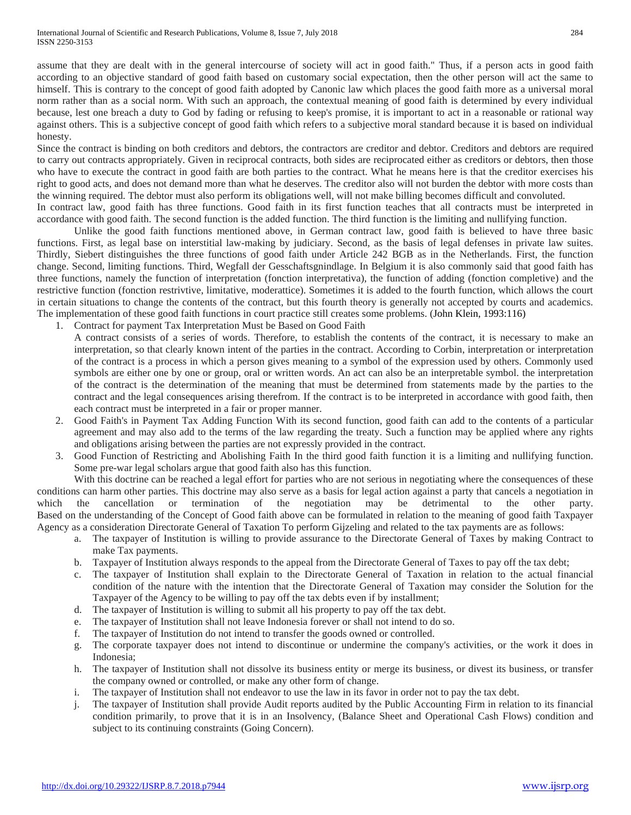assume that they are dealt with in the general intercourse of society will act in good faith." Thus, if a person acts in good faith according to an objective standard of good faith based on customary social expectation, then the other person will act the same to himself. This is contrary to the concept of good faith adopted by Canonic law which places the good faith more as a universal moral norm rather than as a social norm. With such an approach, the contextual meaning of good faith is determined by every individual because, lest one breach a duty to God by fading or refusing to keep's promise, it is important to act in a reasonable or rational way against others. This is a subjective concept of good faith which refers to a subjective moral standard because it is based on individual honesty.

Since the contract is binding on both creditors and debtors, the contractors are creditor and debtor. Creditors and debtors are required to carry out contracts appropriately. Given in reciprocal contracts, both sides are reciprocated either as creditors or debtors, then those who have to execute the contract in good faith are both parties to the contract. What he means here is that the creditor exercises his right to good acts, and does not demand more than what he deserves. The creditor also will not burden the debtor with more costs than the winning required. The debtor must also perform its obligations well, will not make billing becomes difficult and convoluted. In contract law, good faith has three functions. Good faith in its first function teaches that all contracts must be interpreted in

accordance with good faith. The second function is the added function. The third function is the limiting and nullifying function.

Unlike the good faith functions mentioned above, in German contract law, good faith is believed to have three basic functions. First, as legal base on interstitial law-making by judiciary. Second, as the basis of legal defenses in private law suites. Thirdly, Siebert distinguishes the three functions of good faith under Article 242 BGB as in the Netherlands. First, the function change. Second, limiting functions. Third, Wegfall der Gesschaftsgnindlage. In Belgium it is also commonly said that good faith has three functions, namely the function of interpretation (fonction interpretativa), the function of adding (fonction completive) and the restrictive function (fonction restrivtive, limitative, moderattice). Sometimes it is added to the fourth function, which allows the court in certain situations to change the contents of the contract, but this fourth theory is generally not accepted by courts and academics. The implementation of these good faith functions in court practice still creates some problems. (John Klein, 1993:116)

- 1. Contract for payment Tax Interpretation Must be Based on Good Faith
	- A contract consists of a series of words. Therefore, to establish the contents of the contract, it is necessary to make an interpretation, so that clearly known intent of the parties in the contract. According to Corbin, interpretation or interpretation of the contract is a process in which a person gives meaning to a symbol of the expression used by others. Commonly used symbols are either one by one or group, oral or written words. An act can also be an interpretable symbol. the interpretation of the contract is the determination of the meaning that must be determined from statements made by the parties to the contract and the legal consequences arising therefrom. If the contract is to be interpreted in accordance with good faith, then each contract must be interpreted in a fair or proper manner.
- 2. Good Faith's in Payment Tax Adding Function With its second function, good faith can add to the contents of a particular agreement and may also add to the terms of the law regarding the treaty. Such a function may be applied where any rights and obligations arising between the parties are not expressly provided in the contract.
- 3. Good Function of Restricting and Abolishing Faith In the third good faith function it is a limiting and nullifying function. Some pre-war legal scholars argue that good faith also has this function.

With this doctrine can be reached a legal effort for parties who are not serious in negotiating where the consequences of these conditions can harm other parties. This doctrine may also serve as a basis for legal action against a party that cancels a negotiation in which the cancellation or termination of the negotiation may be detrimental to the other party. Based on the understanding of the Concept of Good faith above can be formulated in relation to the meaning of good faith Taxpayer Agency as a consideration Directorate General of Taxation To perform Gijzeling and related to the tax payments are as follows:

- a. The taxpayer of Institution is willing to provide assurance to the Directorate General of Taxes by making Contract to make Tax payments.
- b. Taxpayer of Institution always responds to the appeal from the Directorate General of Taxes to pay off the tax debt;
- c. The taxpayer of Institution shall explain to the Directorate General of Taxation in relation to the actual financial condition of the nature with the intention that the Directorate General of Taxation may consider the Solution for the Taxpayer of the Agency to be willing to pay off the tax debts even if by installment;
- d. The taxpayer of Institution is willing to submit all his property to pay off the tax debt.
- e. The taxpayer of Institution shall not leave Indonesia forever or shall not intend to do so.
- f. The taxpayer of Institution do not intend to transfer the goods owned or controlled.
- g. The corporate taxpayer does not intend to discontinue or undermine the company's activities, or the work it does in Indonesia;
- h. The taxpayer of Institution shall not dissolve its business entity or merge its business, or divest its business, or transfer the company owned or controlled, or make any other form of change.
- i. The taxpayer of Institution shall not endeavor to use the law in its favor in order not to pay the tax debt.
- j. The taxpayer of Institution shall provide Audit reports audited by the Public Accounting Firm in relation to its financial condition primarily, to prove that it is in an Insolvency, (Balance Sheet and Operational Cash Flows) condition and subject to its continuing constraints (Going Concern).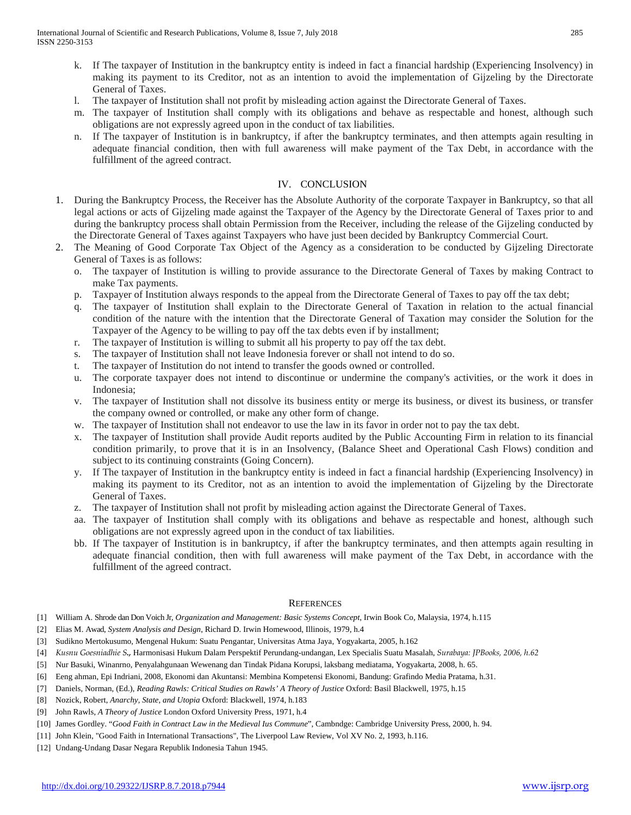- k. If The taxpayer of Institution in the bankruptcy entity is indeed in fact a financial hardship (Experiencing Insolvency) in making its payment to its Creditor, not as an intention to avoid the implementation of Gijzeling by the Directorate General of Taxes.
- l. The taxpayer of Institution shall not profit by misleading action against the Directorate General of Taxes.
- m. The taxpayer of Institution shall comply with its obligations and behave as respectable and honest, although such obligations are not expressly agreed upon in the conduct of tax liabilities.
- n. If The taxpayer of Institution is in bankruptcy, if after the bankruptcy terminates, and then attempts again resulting in adequate financial condition, then with full awareness will make payment of the Tax Debt, in accordance with the fulfillment of the agreed contract.

## IV. CONCLUSION

- 1. During the Bankruptcy Process, the Receiver has the Absolute Authority of the corporate Taxpayer in Bankruptcy, so that all legal actions or acts of Gijzeling made against the Taxpayer of the Agency by the Directorate General of Taxes prior to and during the bankruptcy process shall obtain Permission from the Receiver, including the release of the Gijzeling conducted by the Directorate General of Taxes against Taxpayers who have just been decided by Bankruptcy Commercial Court.
- 2. The Meaning of Good Corporate Tax Object of the Agency as a consideration to be conducted by Gijzeling Directorate General of Taxes is as follows:
	- o. The taxpayer of Institution is willing to provide assurance to the Directorate General of Taxes by making Contract to make Tax payments.
	- p. Taxpayer of Institution always responds to the appeal from the Directorate General of Taxes to pay off the tax debt;
	- q. The taxpayer of Institution shall explain to the Directorate General of Taxation in relation to the actual financial condition of the nature with the intention that the Directorate General of Taxation may consider the Solution for the Taxpayer of the Agency to be willing to pay off the tax debts even if by installment;
	- r. The taxpayer of Institution is willing to submit all his property to pay off the tax debt.
	- s. The taxpayer of Institution shall not leave Indonesia forever or shall not intend to do so.
	- t. The taxpayer of Institution do not intend to transfer the goods owned or controlled.
	- u. The corporate taxpayer does not intend to discontinue or undermine the company's activities, or the work it does in Indonesia;
	- v. The taxpayer of Institution shall not dissolve its business entity or merge its business, or divest its business, or transfer the company owned or controlled, or make any other form of change.
	- w. The taxpayer of Institution shall not endeavor to use the law in its favor in order not to pay the tax debt.
	- x. The taxpayer of Institution shall provide Audit reports audited by the Public Accounting Firm in relation to its financial condition primarily, to prove that it is in an Insolvency, (Balance Sheet and Operational Cash Flows) condition and subject to its continuing constraints (Going Concern).
	- y. If The taxpayer of Institution in the bankruptcy entity is indeed in fact a financial hardship (Experiencing Insolvency) in making its payment to its Creditor, not as an intention to avoid the implementation of Gijzeling by the Directorate General of Taxes.
	- z. The taxpayer of Institution shall not profit by misleading action against the Directorate General of Taxes.
	- aa. The taxpayer of Institution shall comply with its obligations and behave as respectable and honest, although such obligations are not expressly agreed upon in the conduct of tax liabilities.
	- bb. If The taxpayer of Institution is in bankruptcy, if after the bankruptcy terminates, and then attempts again resulting in adequate financial condition, then with full awareness will make payment of the Tax Debt, in accordance with the fulfillment of the agreed contract.

#### **REFERENCES**

- [1] William A. Shrode dan Don Voich Jr, *Organization and Management: Basic Systems Concept*, Irwin Book Co, Malaysia, 1974, h.115
- [2] Elias M. Awad, *System Analysis and Design*, Richard D. Irwin Homewood, Illinois, 1979, h.4
- [3] Sudikno Mertokusumo, Mengenal Hukum: Suatu Pengantar, Universitas Atma Jaya, Yogyakarta, 2005, h.162
- [4] *Kusnu Goesniadhie S.,* Harmonisasi Hukum Dalam Perspektif Perundang-undangan, Lex Specialis Suatu Masalah, *Surabaya: JPBooks, 2006, h.62*
- [5] Nur Basuki, Winanrno, Penyalahgunaan Wewenang dan Tindak Pidana Korupsi, laksbang mediatama, Yogyakarta, 2008, h. 65.
- [6] Eeng ahman, Epi Indriani, 2008, Ekonomi dan Akuntansi: Membina Kompetensi Ekonomi, Bandung: Grafindo Media Pratama, h.31.
- [7] Daniels, Norman, (Ed.), *Reading Rawls: Critical Studies on Rawls' A Theory of Justice* Oxford: Basil Blackwell, 1975, h.15
- [8] Nozick, Robert, *Anarchy, State, and Utopia* Oxford: Blackwell, 1974, h.183
- [9] John Rawls, *A Theory of Justice* London Oxford University Press, 1971, h.4
- [10] James Gordley. "*Good Faith in Contract Law in the Medieval Ius Commune*", Cambndge: Cambridge University Press, 2000, h. 94.
- [11] John Klein, "Good Faith in International Transactions", The Liverpool Law Review, Vol XV No. 2, 1993, h.116.
- [12] Undang-Undang Dasar Negara Republik Indonesia Tahun 1945.